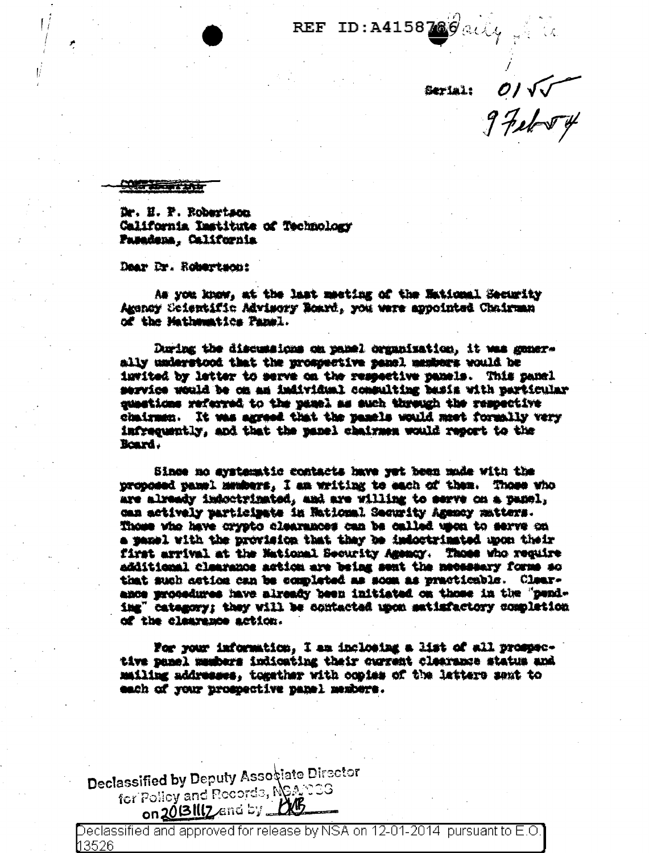REF ID: A4158780 aily

Dr. H. F. Robertson California Institute of Technology Pasadena. California

Dear Dr. Robertson:

As you know, at the last meeting of the Mational Security Agency Scientific Advisory Board, you were appointed Chairman of the Mathematics Panel.

During the discussions on panel cranaisation, it was generally understood that the promosciive panel members would be invited by letter to serve on the respective panels. This panel matrice would be on an individual commulting hasis with particular questions referred to the pasel as such through the respective chairmen. It was agreed that the panels would meet formally very infrequently, and that the panel chairmen would report to the Board.

Since no aystematic contacts have yet hean mode with the proposed panel members. I am writing to each of them. Those who are alreedy indoctrinated, and are willing to serve on a panel, can actively participate in National Security Amency matters. Thome who have crypto clearances can be called upon to serve on a yanel with the provision that they be indoctrinated mon their first arrival at the National Security Amemor. Those who require additional claarance action are being sent the necessary forms so that such action can be completed as somm as practicable. Clearance procedures have already heen initiated on those in the "pendimg" category: they will be contacted upon satisfactory completion of the classence action.

For your information, I am inclosing a list of all prospective panel members indicating their current clearance status and mailing addresses, together with copies of the latters sent to each of your prospective panel members.

Declassified by Deputy Associate Director for Policy and Records, NS& COS

Declassified and approved for release by NSA on 12-01-2014 pursuant to E.O. 13526